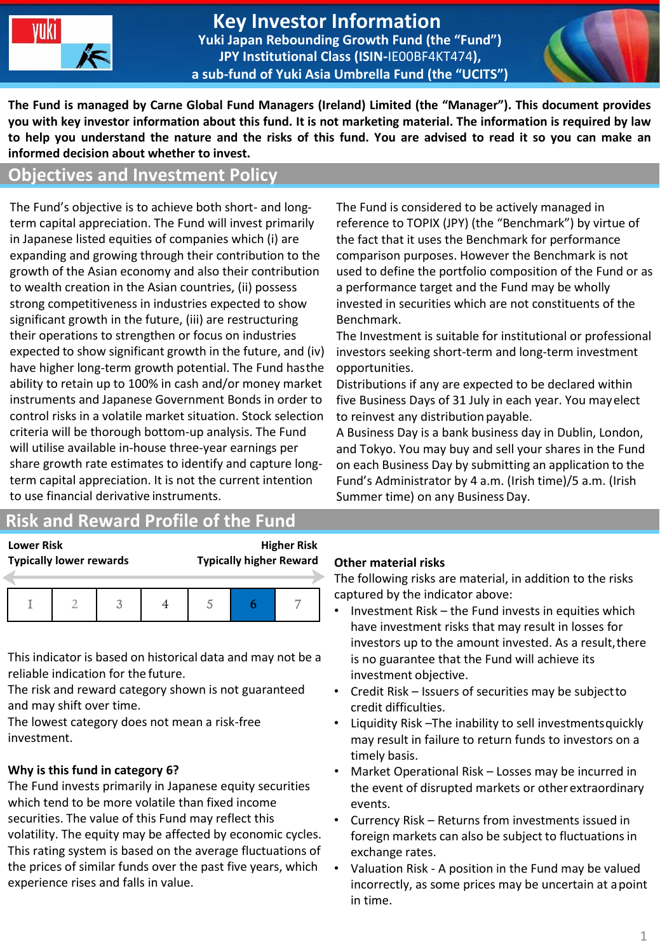

#### **Key Investor Information Yuki Japan Rebounding Growth Fund (the "Fund") JPY Institutional Class (ISIN-**IE00BF4KT474**), a sub-fund of Yuki Asia Umbrella Fund (the "UCITS")**



**The Fund is managed by Carne Global Fund Managers (Ireland) Limited (the "Manager"). This document provides you with key investor information about this fund. It is not marketing material. The information is required by law to help you understand the nature and the risks of this fund. You are advised to read it so you can make an informed decision about whether to invest.**

#### **Objectives and Investment Policy**

The Fund's objective is to achieve both short- and longterm capital appreciation. The Fund will invest primarily in Japanese listed equities of companies which (i) are expanding and growing through their contribution to the growth of the Asian economy and also their contribution to wealth creation in the Asian countries, (ii) possess strong competitiveness in industries expected to show significant growth in the future, (iii) are restructuring their operations to strengthen or focus on industries expected to show significant growth in the future, and (iv) have higher long-term growth potential. The Fund hasthe ability to retain up to 100% in cash and/or money market instruments and Japanese Government Bonds in order to control risks in a volatile market situation. Stock selection criteria will be thorough bottom-up analysis. The Fund will utilise available in-house three-year earnings per share growth rate estimates to identify and capture longterm capital appreciation. It is not the current intention to use financial derivative instruments.

## **Risk and Reward Profile of the Fund**

**Lower Risk Higher Risk Typically lower rewards Typically higher Reward**

This indicator is based on historical data and may not be a reliable indication for the future.

The risk and reward category shown is not guaranteed and may shift over time.

The lowest category does not mean a risk-free investment.

## **Why is this fund in category 6?**

The Fund invests primarily in Japanese equity securities which tend to be more volatile than fixed income securities. The value of this Fund may reflect this volatility. The equity may be affected by economic cycles. This rating system is based on the average fluctuations of the prices of similar funds over the past five years, which experience rises and falls in value.

The Fund is considered to be actively managed in reference to TOPIX (JPY) (the "Benchmark") by virtue of the fact that it uses the Benchmark for performance comparison purposes. However the Benchmark is not used to define the portfolio composition of the Fund or as a performance target and the Fund may be wholly invested in securities which are not constituents of the Benchmark.

The Investment is suitable for institutional or professional investors seeking short-term and long-term investment opportunities.

Distributions if any are expected to be declared within five Business Days of 31 July in each year. You mayelect to reinvest any distribution payable.

A Business Day is a bank business day in Dublin, London, and Tokyo. You may buy and sell your shares in the Fund on each Business Day by submitting an application to the Fund's Administrator by 4 a.m. (Irish time)/5 a.m. (Irish Summer time) on any BusinessDay.

#### **Other material risks**

The following risks are material, in addition to the risks captured by the indicator above:

- Investment Risk the Fund invests in equities which have investment risks that may result in losses for investors up to the amount invested. As a result, there is no guarantee that the Fund will achieve its investment objective.
- Credit Risk Issuers of securities may be subjectto credit difficulties.
- Liquidity Risk –The inability to sell investmentsquickly may result in failure to return funds to investors on a timely basis.
- Market Operational Risk Losses may be incurred in the event of disrupted markets or other extraordinary events.
- Currency Risk Returns from investments issued in foreign markets can also be subject to fluctuations in exchange rates.
- Valuation Risk A position in the Fund may be valued incorrectly, as some prices may be uncertain at apoint in time.